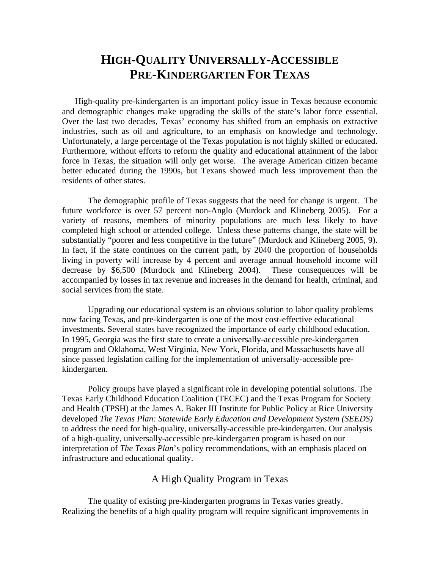# **HIGH-QUALITY UNIVERSALLY-ACCESSIBLE PRE-KINDERGARTEN FOR TEXAS**

High-quality pre-kindergarten is an important policy issue in Texas because economic and demographic changes make upgrading the skills of the state's labor force essential. Over the last two decades, Texas' economy has shifted from an emphasis on extractive industries, such as oil and agriculture, to an emphasis on knowledge and technology. Unfortunately, a large percentage of the Texas population is not highly skilled or educated. Furthermore, without efforts to reform the quality and educational attainment of the labor force in Texas, the situation will only get worse. The average American citizen became better educated during the 1990s, but Texans showed much less improvement than the residents of other states.

The demographic profile of Texas suggests that the need for change is urgent. The future workforce is over 57 percent non-Anglo (Murdock and Klineberg 2005). For a variety of reasons, members of minority populations are much less likely to have completed high school or attended college. Unless these patterns change, the state will be substantially "poorer and less competitive in the future" (Murdock and Klineberg 2005, 9). In fact, if the state continues on the current path, by 2040 the proportion of households living in poverty will increase by 4 percent and average annual household income will decrease by \$6,500 (Murdock and Klineberg 2004). These consequences will be accompanied by losses in tax revenue and increases in the demand for health, criminal, and social services from the state.

 Upgrading our educational system is an obvious solution to labor quality problems now facing Texas, and pre-kindergarten is one of the most cost-effective educational investments. Several states have recognized the importance of early childhood education. In 1995, Georgia was the first state to create a universally-accessible pre-kindergarten program and Oklahoma, West Virginia, New York, Florida, and Massachusetts have all since passed legislation calling for the implementation of universally-accessible prekindergarten.

Policy groups have played a significant role in developing potential solutions. The Texas Early Childhood Education Coalition (TECEC) and the Texas Program for Society and Health (TPSH) at the James A. Baker III Institute for Public Policy at Rice University developed *The Texas Plan: Statewide Early Education and Development System (SEEDS)*  to address the need for high-quality, universally-accessible pre-kindergarten. Our analysis of a high-quality, universally-accessible pre-kindergarten program is based on our interpretation of *The Texas Plan*'s policy recommendations, with an emphasis placed on infrastructure and educational quality.

## A High Quality Program in Texas

 The quality of existing pre-kindergarten programs in Texas varies greatly. Realizing the benefits of a high quality program will require significant improvements in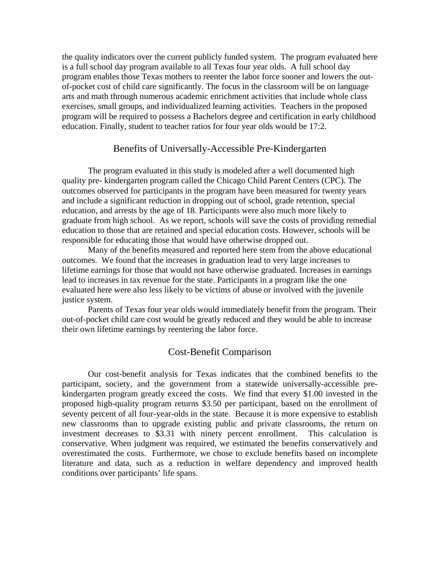the quality indicators over the current publicly funded system. The program evaluated here is a full school day program available to all Texas four year olds. A full school day program enables those Texas mothers to reenter the labor force sooner and lowers the outof-pocket cost of child care significantly. The focus in the classroom will be on language arts and math through numerous academic enrichment activities that include whole class exercises, small groups, and individualized learning activities. Teachers in the proposed program will be required to possess a Bachelors degree and certification in early childhood education. Finally, student to teacher ratios for four year olds would be 17:2.

### Benefits of Universally-Accessible Pre-Kindergarten

The program evaluated in this study is modeled after a well documented high quality pre- kindergarten program called the Chicago Child Parent Centers (CPC). The outcomes observed for participants in the program have been measured for twenty years and include a significant reduction in dropping out of school, grade retention, special education, and arrests by the age of 18. Participants were also much more likely to graduate from high school. As we report, schools will save the costs of providing remedial education to those that are retained and special education costs. However, schools will be responsible for educating those that would have otherwise dropped out.

 Many of the benefits measured and reported here stem from the above educational outcomes. We found that the increases in graduation lead to very large increases to lifetime earnings for those that would not have otherwise graduated. Increases in earnings lead to increases in tax revenue for the state. Participants in a program like the one evaluated here were also less likely to be victims of abuse or involved with the juvenile justice system.

 Parents of Texas four year olds would immediately benefit from the program. Their out-of-pocket child care cost would be greatly reduced and they would be able to increase their own lifetime earnings by reentering the labor force.

## Cost-Benefit Comparison

Our cost-benefit analysis for Texas indicates that the combined benefits to the participant, society, and the government from a statewide universally-accessible prekindergarten program greatly exceed the costs. We find that every \$1.00 invested in the proposed high-quality program returns \$3.50 per participant, based on the enrollment of seventy percent of all four-year-olds in the state. Because it is more expensive to establish new classrooms than to upgrade existing public and private classrooms, the return on investment decreases to \$3.31 with ninety percent enrollment. This calculation is conservative. When judgment was required, we estimated the benefits conservatively and overestimated the costs. Furthermore, we chose to exclude benefits based on incomplete literature and data, such as a reduction in welfare dependency and improved health conditions over participants' life spans.